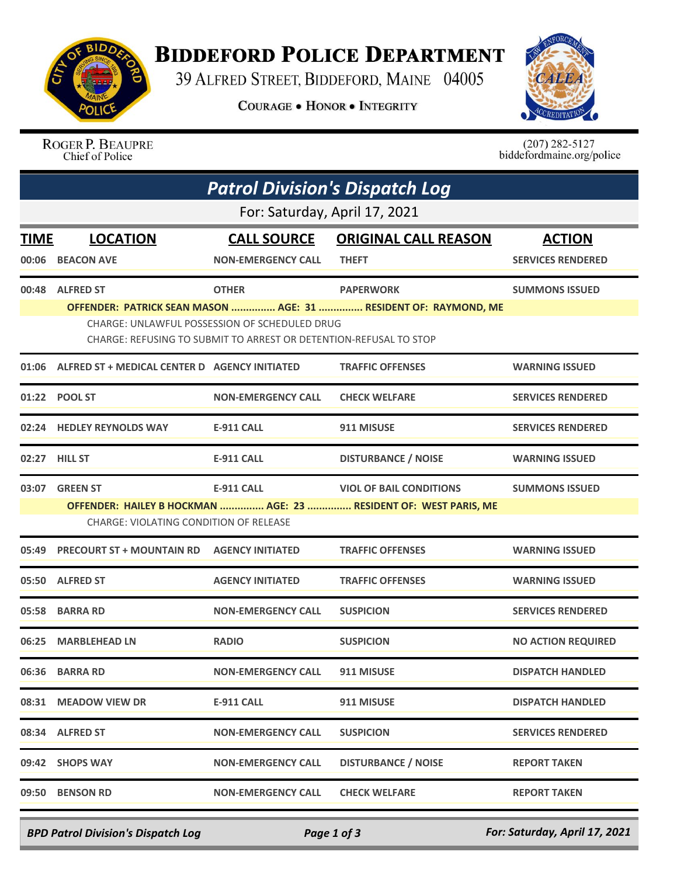

## **BIDDEFORD POLICE DEPARTMENT**

39 ALFRED STREET, BIDDEFORD, MAINE 04005

**COURAGE . HONOR . INTEGRITY** 



ROGER P. BEAUPRE Chief of Police

 $(207)$  282-5127<br>biddefordmaine.org/police

|             | <b>Patrol Division's Dispatch Log</b>                                                                                                                                                 |                           |                                |                           |  |  |  |  |
|-------------|---------------------------------------------------------------------------------------------------------------------------------------------------------------------------------------|---------------------------|--------------------------------|---------------------------|--|--|--|--|
|             | For: Saturday, April 17, 2021                                                                                                                                                         |                           |                                |                           |  |  |  |  |
| <b>TIME</b> | <b>LOCATION</b>                                                                                                                                                                       | <b>CALL SOURCE</b>        | <b>ORIGINAL CALL REASON</b>    | <b>ACTION</b>             |  |  |  |  |
| 00:06       | <b>BEACON AVE</b>                                                                                                                                                                     | <b>NON-EMERGENCY CALL</b> | <b>THEFT</b>                   | <b>SERVICES RENDERED</b>  |  |  |  |  |
|             | 00:48 ALFRED ST                                                                                                                                                                       | <b>OTHER</b>              | <b>PAPERWORK</b>               | <b>SUMMONS ISSUED</b>     |  |  |  |  |
|             | OFFENDER: PATRICK SEAN MASON  AGE: 31  RESIDENT OF: RAYMOND, ME<br>CHARGE: UNLAWFUL POSSESSION OF SCHEDULED DRUG<br>CHARGE: REFUSING TO SUBMIT TO ARREST OR DETENTION-REFUSAL TO STOP |                           |                                |                           |  |  |  |  |
|             | 01:06 ALFRED ST + MEDICAL CENTER D AGENCY INITIATED                                                                                                                                   |                           | <b>TRAFFIC OFFENSES</b>        | <b>WARNING ISSUED</b>     |  |  |  |  |
|             | 01:22 POOL ST                                                                                                                                                                         | <b>NON-EMERGENCY CALL</b> | <b>CHECK WELFARE</b>           | <b>SERVICES RENDERED</b>  |  |  |  |  |
|             | 02:24 HEDLEY REYNOLDS WAY                                                                                                                                                             | <b>E-911 CALL</b>         | 911 MISUSE                     | <b>SERVICES RENDERED</b>  |  |  |  |  |
|             | 02:27 HILL ST                                                                                                                                                                         | <b>E-911 CALL</b>         | <b>DISTURBANCE / NOISE</b>     | <b>WARNING ISSUED</b>     |  |  |  |  |
|             | 03:07 GREEN ST                                                                                                                                                                        | <b>E-911 CALL</b>         | <b>VIOL OF BAIL CONDITIONS</b> | <b>SUMMONS ISSUED</b>     |  |  |  |  |
|             | OFFENDER: HAILEY B HOCKMAN  AGE: 23  RESIDENT OF: WEST PARIS, ME<br><b>CHARGE: VIOLATING CONDITION OF RELEASE</b>                                                                     |                           |                                |                           |  |  |  |  |
| 05:49       | <b>PRECOURT ST + MOUNTAIN RD AGENCY INITIATED</b>                                                                                                                                     |                           | <b>TRAFFIC OFFENSES</b>        | <b>WARNING ISSUED</b>     |  |  |  |  |
|             | 05:50 ALFRED ST                                                                                                                                                                       | <b>AGENCY INITIATED</b>   | <b>TRAFFIC OFFENSES</b>        | <b>WARNING ISSUED</b>     |  |  |  |  |
| 05:58       | <b>BARRA RD</b>                                                                                                                                                                       | <b>NON-EMERGENCY CALL</b> | <b>SUSPICION</b>               | <b>SERVICES RENDERED</b>  |  |  |  |  |
| 06:25       | <b>MARBLEHEAD LN</b>                                                                                                                                                                  | <b>RADIO</b>              | <b>SUSPICION</b>               | <b>NO ACTION REQUIRED</b> |  |  |  |  |
|             | 06:36 BARRA RD                                                                                                                                                                        | <b>NON-EMERGENCY CALL</b> | 911 MISUSE                     | <b>DISPATCH HANDLED</b>   |  |  |  |  |
|             | 08:31 MEADOW VIEW DR                                                                                                                                                                  | <b>E-911 CALL</b>         | 911 MISUSE                     | <b>DISPATCH HANDLED</b>   |  |  |  |  |
|             | 08:34 ALFRED ST                                                                                                                                                                       | <b>NON-EMERGENCY CALL</b> | <b>SUSPICION</b>               | <b>SERVICES RENDERED</b>  |  |  |  |  |
|             | 09:42 SHOPS WAY                                                                                                                                                                       | <b>NON-EMERGENCY CALL</b> | <b>DISTURBANCE / NOISE</b>     | <b>REPORT TAKEN</b>       |  |  |  |  |
|             | 09:50 BENSON RD                                                                                                                                                                       | <b>NON-EMERGENCY CALL</b> | <b>CHECK WELFARE</b>           | <b>REPORT TAKEN</b>       |  |  |  |  |

*BPD Patrol Division's Dispatch Log Page 1 of 3 For: Saturday, April 17, 2021*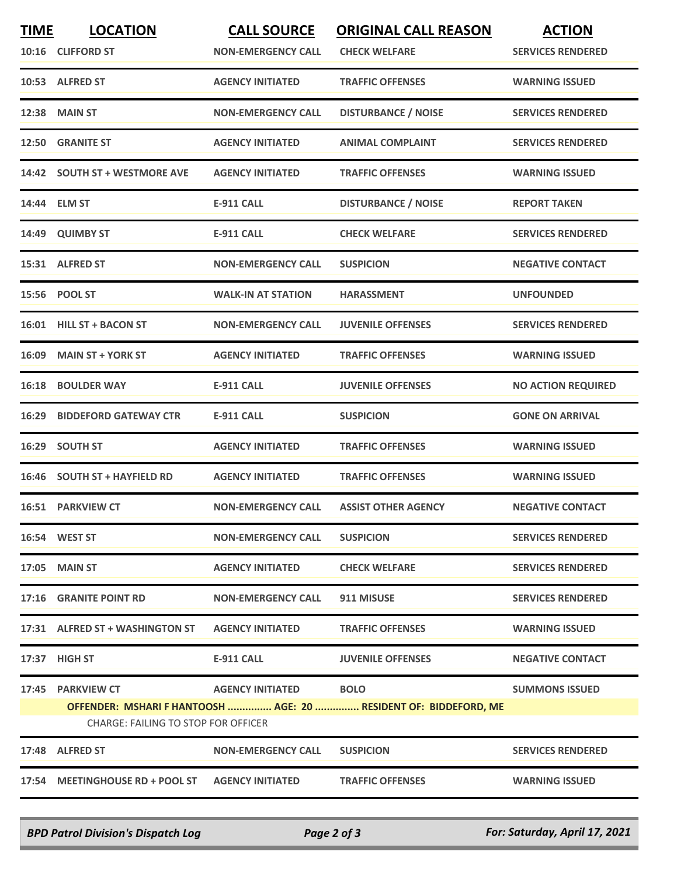| <b>TIME</b><br>10:16 | <b>LOCATION</b><br><b>CLIFFORD ST</b>                           | <b>CALL SOURCE</b><br><b>NON-EMERGENCY CALL</b> | <b>ORIGINAL CALL REASON</b><br><b>CHECK WELFARE</b>                             | <b>ACTION</b><br><b>SERVICES RENDERED</b> |
|----------------------|-----------------------------------------------------------------|-------------------------------------------------|---------------------------------------------------------------------------------|-------------------------------------------|
|                      | 10:53 ALFRED ST                                                 | <b>AGENCY INITIATED</b>                         | <b>TRAFFIC OFFENSES</b>                                                         | <b>WARNING ISSUED</b>                     |
|                      | <b>12:38 MAIN ST</b>                                            | <b>NON-EMERGENCY CALL</b>                       | <b>DISTURBANCE / NOISE</b>                                                      | <b>SERVICES RENDERED</b>                  |
|                      | 12:50 GRANITE ST                                                | <b>AGENCY INITIATED</b>                         | <b>ANIMAL COMPLAINT</b>                                                         | <b>SERVICES RENDERED</b>                  |
|                      | 14:42 SOUTH ST + WESTMORE AVE                                   | <b>AGENCY INITIATED</b>                         | <b>TRAFFIC OFFENSES</b>                                                         | <b>WARNING ISSUED</b>                     |
|                      | 14:44 ELM ST                                                    | <b>E-911 CALL</b>                               | <b>DISTURBANCE / NOISE</b>                                                      | <b>REPORT TAKEN</b>                       |
| 14:49                | <b>QUIMBY ST</b>                                                | <b>E-911 CALL</b>                               | <b>CHECK WELFARE</b>                                                            | <b>SERVICES RENDERED</b>                  |
|                      | 15:31 ALFRED ST                                                 | <b>NON-EMERGENCY CALL</b>                       | <b>SUSPICION</b>                                                                | <b>NEGATIVE CONTACT</b>                   |
|                      | 15:56 POOL ST                                                   | <b>WALK-IN AT STATION</b>                       | <b>HARASSMENT</b>                                                               | <b>UNFOUNDED</b>                          |
|                      | 16:01 HILL ST + BACON ST                                        | <b>NON-EMERGENCY CALL</b>                       | <b>JUVENILE OFFENSES</b>                                                        | <b>SERVICES RENDERED</b>                  |
| 16:09                | <b>MAIN ST + YORK ST</b>                                        | <b>AGENCY INITIATED</b>                         | <b>TRAFFIC OFFENSES</b>                                                         | <b>WARNING ISSUED</b>                     |
|                      | <b>16:18 BOULDER WAY</b>                                        | <b>E-911 CALL</b>                               | <b>JUVENILE OFFENSES</b>                                                        | <b>NO ACTION REQUIRED</b>                 |
| 16:29                | <b>BIDDEFORD GATEWAY CTR</b>                                    | <b>E-911 CALL</b>                               | <b>SUSPICION</b>                                                                | <b>GONE ON ARRIVAL</b>                    |
| 16:29                | <b>SOUTH ST</b>                                                 | <b>AGENCY INITIATED</b>                         | <b>TRAFFIC OFFENSES</b>                                                         | <b>WARNING ISSUED</b>                     |
|                      | 16:46 SOUTH ST + HAYFIELD RD                                    | <b>AGENCY INITIATED</b>                         | <b>TRAFFIC OFFENSES</b>                                                         | <b>WARNING ISSUED</b>                     |
|                      | <b>16:51 PARKVIEW CT</b>                                        | <b>NON-EMERGENCY CALL</b>                       | <b>ASSIST OTHER AGENCY</b>                                                      | <b>NEGATIVE CONTACT</b>                   |
|                      | 16:54 WEST ST                                                   | <b>NON-EMERGENCY CALL</b>                       | <b>SUSPICION</b>                                                                | <b>SERVICES RENDERED</b>                  |
|                      | <b>17:05 MAIN ST</b>                                            | <b>AGENCY INITIATED</b>                         | <b>CHECK WELFARE</b>                                                            | <b>SERVICES RENDERED</b>                  |
|                      | 17:16 GRANITE POINT RD                                          | <b>NON-EMERGENCY CALL</b>                       | 911 MISUSE                                                                      | <b>SERVICES RENDERED</b>                  |
|                      | 17:31 ALFRED ST + WASHINGTON ST                                 | <b>AGENCY INITIATED</b>                         | <b>TRAFFIC OFFENSES</b>                                                         | <b>WARNING ISSUED</b>                     |
|                      | 17:37 HIGH ST                                                   | E-911 CALL                                      | <b>JUVENILE OFFENSES</b>                                                        | <b>NEGATIVE CONTACT</b>                   |
|                      | 17:45 PARKVIEW CT<br><b>CHARGE: FAILING TO STOP FOR OFFICER</b> | <b>AGENCY INITIATED</b>                         | <b>BOLO</b><br>OFFENDER: MSHARI F HANTOOSH  AGE: 20  RESIDENT OF: BIDDEFORD, ME | <b>SUMMONS ISSUED</b>                     |
|                      | 17:48 ALFRED ST                                                 | <b>NON-EMERGENCY CALL</b>                       | <b>SUSPICION</b>                                                                | <b>SERVICES RENDERED</b>                  |
|                      |                                                                 |                                                 | <b>TRAFFIC OFFENSES</b>                                                         | <b>WARNING ISSUED</b>                     |

*BPD Patrol Division's Dispatch Log Page 2 of 3 For: Saturday, April 17, 2021*